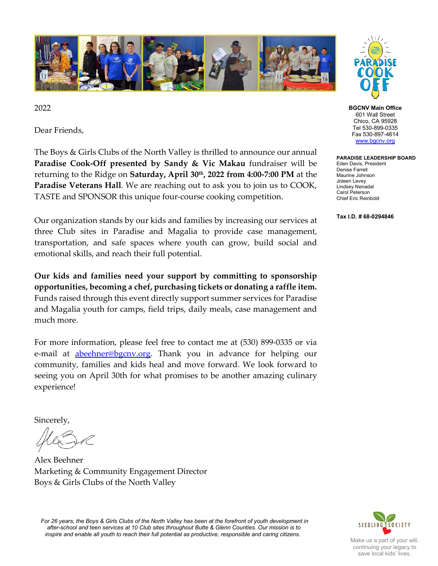

2022

Dear Friends,

The Boys & Girls Clubs of the North Valley is thrilled to announce our annual **Paradise Cook-Off presented by Sandy & Vic Makau** fundraiser will be returning to the Ridge on **Saturday, April 30th, 2022 from 4:00-7:00 PM** at the **Paradise Veterans Hall**. We are reaching out to ask you to join us to COOK, TASTE and SPONSOR this unique four-course cooking competition.

Our organization stands by our kids and families by increasing our services at three Club sites in Paradise and Magalia to provide case management, transportation, and safe spaces where youth can grow, build social and emotional skills, and reach their full potential.

**Our kids and families need your support by committing to sponsorship opportunities, becoming a chef, purchasing tickets or donating a raffle item.**  Funds raised through this event directly support summer services for Paradise and Magalia youth for camps, field trips, daily meals, case management and much more.

For more information, please feel free to contact me at (530) 899-0335 or via e-mail at **abeehner@bgcnv.org**. Thank you in advance for helping our community, families and kids heal and move forward. We look forward to seeing you on April 30th for what promises to be another amazing culinary experience!

Sincerely,

Alex Beehner Marketing & Community Engagement Director Boys & Girls Clubs of the North Valley

*For 26 years, the Boys & Girls Clubs of the North Valley has been at the forefront of youth development in after-school and teen services at 10 Club sites throughout Butte & Glenn Counties. Our mission is to inspire and enable all youth to reach their full potential as productive, responsible and caring citizens.*



**BGCNV Main Office** 601 Wall Street Chico, CA 95928 Tel 530-899-0335 Fax 530-897-4614 [www.bgcnv.org](http://www.bgcnv.org/)

**PARADISE LEADERSHIP BOARD**

Eden Davis, President Denise Farrell Maurine Johnson Joleen Levey Lindsey Nenadal Carol Peterson Chief Eric Reinbold

**Tax I.D. # 68-0294846**